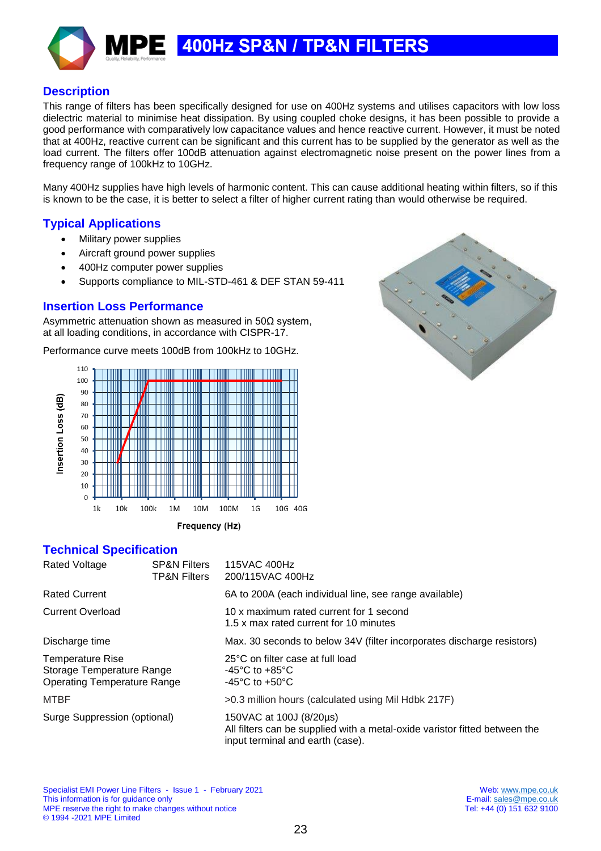# 400Hz SP&N / TP&N FILTERS



This range of filters has been specifically designed for use on 400Hz systems and utilises capacitors with low loss dielectric material to minimise heat dissipation. By using coupled choke designs, it has been possible to provide a good performance with comparatively low capacitance values and hence reactive current. However, it must be noted that at 400Hz, reactive current can be significant and this current has to be supplied by the generator as well as the load current. The filters offer 100dB attenuation against electromagnetic noise present on the power lines from a frequency range of 100kHz to 10GHz.

Many 400Hz supplies have high levels of harmonic content. This can cause additional heating within filters, so if this is known to be the case, it is better to select a filter of higher current rating than would otherwise be required.

#### **Typical Applications**

- Military power supplies
- Aircraft ground power supplies
- 400Hz computer power supplies

Е

Supports compliance to MIL-STD-461 & DEF STAN 59-411

#### **Insertion Loss Performance**

Asymmetric attenuation shown as measured in 50Ω system, at all loading conditions, in accordance with CISPR-17.

Performance curve meets 100dB from 100kHz to 10GHz.





**Technical Specification**

| Rated Voltage                                                                       | <b>SP&amp;N Filters</b><br>TP&N Filters | 115VAC 400Hz<br>200/115VAC 400Hz                                                                                                          |
|-------------------------------------------------------------------------------------|-----------------------------------------|-------------------------------------------------------------------------------------------------------------------------------------------|
| Rated Current                                                                       |                                         | 6A to 200A (each individual line, see range available)                                                                                    |
| Current Overload                                                                    |                                         | 10 x maximum rated current for 1 second<br>1.5 x max rated current for 10 minutes                                                         |
| Discharge time                                                                      |                                         | Max. 30 seconds to below 34V (filter incorporates discharge resistors)                                                                    |
| Temperature Rise<br>Storage Temperature Range<br><b>Operating Temperature Range</b> |                                         | 25°C on filter case at full load<br>-45°C to +85°C<br>-45 $\mathrm{^{\circ}C}$ to +50 $\mathrm{^{\circ}C}$                                |
| MTBF                                                                                |                                         | >0.3 million hours (calculated using Mil Hdbk 217F)                                                                                       |
| Surge Suppression (optional)                                                        |                                         | 150VAC at 100J (8/20µs)<br>All filters can be supplied with a metal-oxide varistor fitted between the<br>input terminal and earth (case). |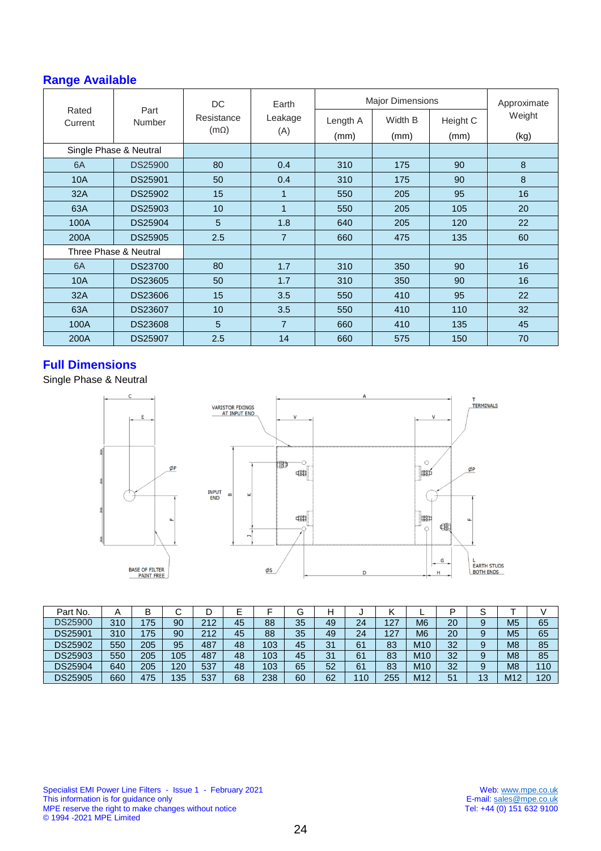# **Range Available**

|                        |                | <b>DC</b>                 | Earth          | <b>Major Dimensions</b> | Approximate     |                  |                |  |
|------------------------|----------------|---------------------------|----------------|-------------------------|-----------------|------------------|----------------|--|
| Rated<br>Current       | Part<br>Number | Resistance<br>$(m\Omega)$ | Leakage<br>(A) | Length A<br>(mm)        | Width B<br>(mm) | Height C<br>(mm) | Weight<br>(kg) |  |
| Single Phase & Neutral |                |                           |                |                         |                 |                  |                |  |
| 6A                     | <b>DS25900</b> | 80                        | 0.4            | 310                     | 175             | 90               | 8              |  |
| 10A                    | <b>DS25901</b> | 50                        | 0.4            | 310                     | 175             | 90               | 8              |  |
| 32A                    | <b>DS25902</b> | 15                        | 1              | 550                     | 205             | 95               | 16             |  |
| 63A                    | DS25903        | 10                        | 1              | 550                     | 205             | 105              | 20             |  |
| 100A                   | DS25904        | 5                         | 1.8            | 640                     | 205             | 120              | 22             |  |
| 200A                   | <b>DS25905</b> | 2.5                       | $\overline{7}$ | 660                     | 475             | 135              | 60             |  |
| Three Phase & Neutral  |                |                           |                |                         |                 |                  |                |  |
| 6A                     | <b>DS23700</b> | 80                        | 1.7            | 310                     | 350             | 90               | 16             |  |
| 10A                    | <b>DS23605</b> | 50                        | 1.7            | 310                     | 350             | 90               | 16             |  |
| 32A                    | <b>DS23606</b> | 15                        | 3.5            | 550                     | 410             | 95               | 22             |  |
| 63A                    | <b>DS23607</b> | 10                        | 3.5            | 550                     | 410             | 110              | 32             |  |
| 100A                   | <b>DS23608</b> | 5                         | $\overline{7}$ | 660                     | 410             | 135              | 45             |  |
| 200A                   | <b>DS25907</b> | 2.5                       | 14             | 660                     | 575             | 150              | 70             |  |

## **Full Dimensions**

Single Phase & Neutral

Ø

 $\mathsf{C}$ 



| Part No.       |     | B   | ີ   | ◡   |    |     |    | н  | ັ   | '   |                 |    | ⌒<br>ت |                |     |
|----------------|-----|-----|-----|-----|----|-----|----|----|-----|-----|-----------------|----|--------|----------------|-----|
| <b>DS25900</b> | 310 | 75  | 90  | 212 | 45 | 88  | 35 | 49 | 24  | 127 | M <sub>6</sub>  | 20 | 9      | M5             | 65  |
| DS25901        | 310 | 75  | 90  | 212 | 45 | 88  | 35 | 49 | 24  | 127 | M <sub>6</sub>  | 20 | 9      | M <sub>5</sub> | 65  |
| DS25902        | 550 | 205 | 95  | 487 | 48 | 103 | 45 | 31 | 61  | 83  | M <sub>10</sub> | 32 | 9      | M <sub>8</sub> | 85  |
| DS25903        | 550 | 205 | 105 | 487 | 48 | 103 | 45 | 31 | 61  | 83  | M <sub>10</sub> | 32 | 9      | M <sub>8</sub> | 85  |
| DS25904        | 640 | 205 | 120 | 537 | 48 | 103 | 65 | 52 | 61  | 83  | M <sub>10</sub> | 32 | 9      | M <sub>8</sub> | 110 |
| DS25905        | 660 | 475 | 135 | 537 | 68 | 238 | 60 | 62 | 110 | 255 | M <sub>12</sub> | 51 | 13     | M12            | 120 |

Specialist EMI Power Line Filters - Issue 1 - February 2021 Web: [www.mpe.co.uk](http://www.mpe.co.uk/) This information is for guidance only example that the state of the state of the state of the state of the state of the state of the state of the state of the state of the state of the state of the state of the state of th MPE reserve the right to make changes without notice Tel: +44 (0) 151 632 9100 © 1994 -2021 MPE Limited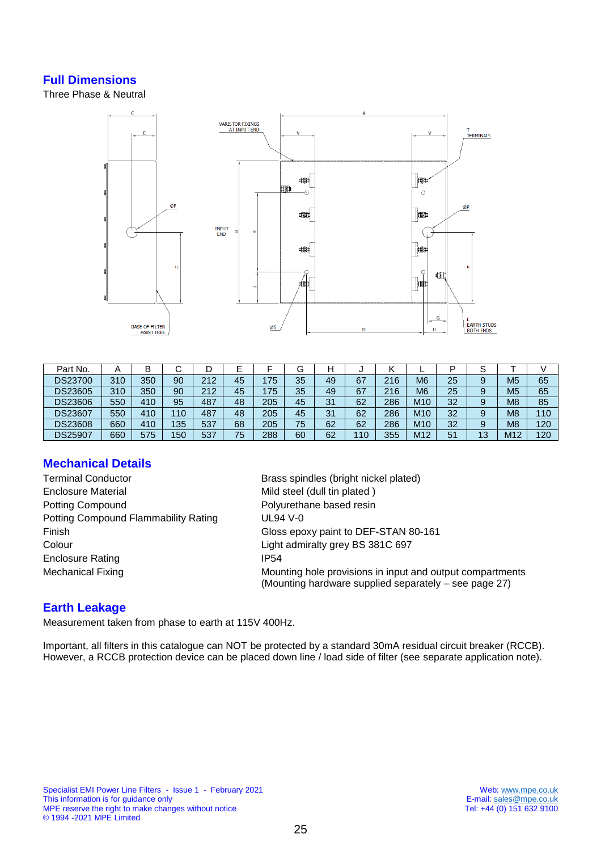## **Full Dimensions**

Three Phase & Neutral



| Part No.       | A   | В   |     |     | ┕  |     |    |    |     | г.  |                 | D  | ິ<br>o |                |     |
|----------------|-----|-----|-----|-----|----|-----|----|----|-----|-----|-----------------|----|--------|----------------|-----|
| <b>DS23700</b> | 310 | 350 | 90  | 212 | 45 | 175 | 35 | 49 | 67  | 216 | M <sub>6</sub>  | 25 | 9      | M <sub>5</sub> | 65  |
| DS23605        | 310 | 350 | 90  | 212 | 45 | 175 | 35 | 49 | 67  | 216 | M <sub>6</sub>  | 25 | 9      | M <sub>5</sub> | 65  |
| <b>DS23606</b> | 550 | 410 | 95  | 487 | 48 | 205 | 45 | 31 | 62  | 286 | M <sub>10</sub> | 32 | 9      | M <sub>8</sub> | 85  |
| DS23607        | 550 | 410 | 110 | 487 | 48 | 205 | 45 | 31 | 62  | 286 | M <sub>10</sub> | 32 | 9      | M <sub>8</sub> | 110 |
| DS23608        | 660 | 410 | 135 | 537 | 68 | 205 | 75 | 62 | 62  | 286 | M <sub>10</sub> | 32 | 9      | M <sub>8</sub> | 120 |
| <b>DS25907</b> | 660 | 575 | 150 | 537 | 75 | 288 | 60 | 62 | 110 | 355 | M12             | 51 | 13     | M12            | 120 |

## **Mechanical Details**

- Terminal Conductor **Brass spindles (bright nickel plated)** Enclosure Material **Enclosure Material** Mild steel (dull tin plated ) Potting Compound **Polyurethane** based resin Potting Compound Flammability Rating UL94 V-0 Colour Colour Light admiralty grey BS 381C 697 Enclosure Rating **IP54**
- Finish Gloss epoxy paint to DEF-STAN 80-161 Mechanical Fixing Mounting hole provisions in input and output compartments (Mounting hardware supplied separately – see page 27)

## **Earth Leakage**

Measurement taken from phase to earth at 115V 400Hz.

Important, all filters in this catalogue can NOT be protected by a standard 30mA residual circuit breaker (RCCB). However, a RCCB protection device can be placed down line / load side of filter (see separate application note).